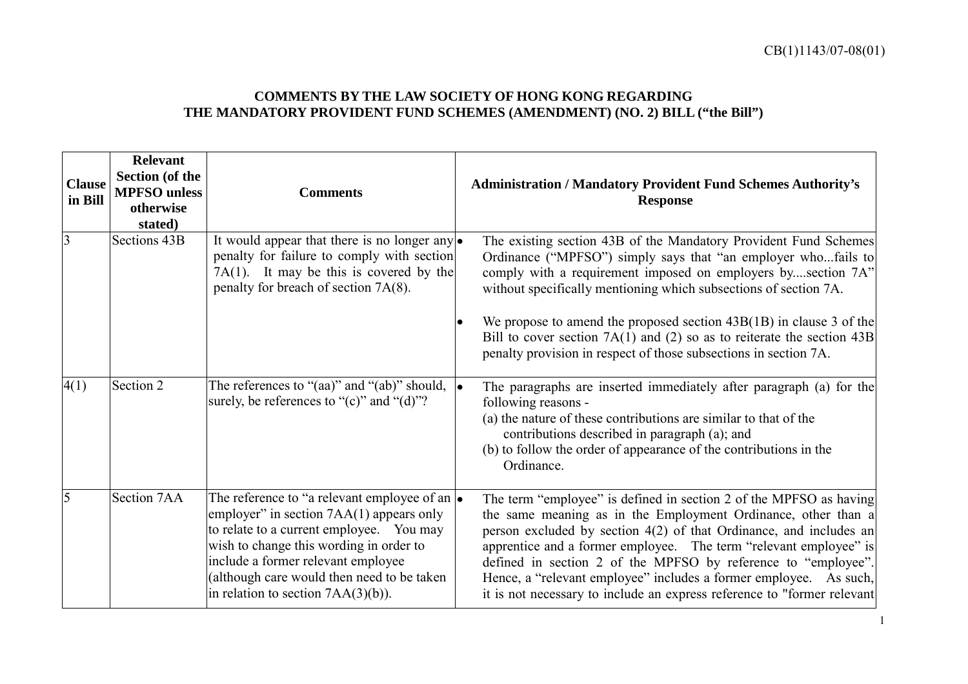## **COMMENTS BY THE LAW SOCIETY OF HONG KONG REGARDING THE MANDATORY PROVIDENT FUND SCHEMES (AMENDMENT) (NO. 2) BILL ("the Bill")**

| <b>Clause</b><br>in Bill | <b>Relevant</b><br><b>Section (of the</b><br><b>MPFSO</b> unless<br>otherwise<br>stated) | <b>Comments</b>                                                                                                                                                                                                                                                                                                         | <b>Administration / Mandatory Provident Fund Schemes Authority's</b><br><b>Response</b>                                                                                                                                                                                                                                                                                                                                                                                                         |
|--------------------------|------------------------------------------------------------------------------------------|-------------------------------------------------------------------------------------------------------------------------------------------------------------------------------------------------------------------------------------------------------------------------------------------------------------------------|-------------------------------------------------------------------------------------------------------------------------------------------------------------------------------------------------------------------------------------------------------------------------------------------------------------------------------------------------------------------------------------------------------------------------------------------------------------------------------------------------|
| $\overline{3}$           | Sections 43B                                                                             | It would appear that there is no longer any $\bullet$<br>penalty for failure to comply with section<br>$7A(1)$ . It may be this is covered by the<br>penalty for breach of section 7A(8).                                                                                                                               | The existing section 43B of the Mandatory Provident Fund Schemes<br>Ordinance ("MPFSO") simply says that "an employer whofails to<br>comply with a requirement imposed on employers bysection 7A"<br>without specifically mentioning which subsections of section 7A.                                                                                                                                                                                                                           |
|                          |                                                                                          |                                                                                                                                                                                                                                                                                                                         | We propose to amend the proposed section $43B(1B)$ in clause 3 of the<br>Bill to cover section $7A(1)$ and (2) so as to reiterate the section 43B<br>penalty provision in respect of those subsections in section 7A.                                                                                                                                                                                                                                                                           |
| 4(1)                     | Section 2                                                                                | The references to "(aa)" and "(ab)" should, $\bullet$<br>surely, be references to " $(c)$ " and " $(d)$ "?                                                                                                                                                                                                              | The paragraphs are inserted immediately after paragraph (a) for the<br>following reasons -<br>(a) the nature of these contributions are similar to that of the<br>contributions described in paragraph (a); and<br>(b) to follow the order of appearance of the contributions in the<br>Ordinance.                                                                                                                                                                                              |
| 5                        | Section 7AA                                                                              | The reference to "a relevant employee of an $\bullet$<br>employer" in section $7AA(1)$ appears only<br>to relate to a current employee. You may<br>wish to change this wording in order to<br>include a former relevant employee<br>(although care would then need to be taken<br>in relation to section $7AA(3)(b)$ ). | The term "employee" is defined in section 2 of the MPFSO as having<br>the same meaning as in the Employment Ordinance, other than a<br>person excluded by section 4(2) of that Ordinance, and includes an<br>apprentice and a former employee. The term "relevant employee" is<br>defined in section 2 of the MPFSO by reference to "employee".<br>Hence, a "relevant employee" includes a former employee. As such,<br>it is not necessary to include an express reference to "former relevant |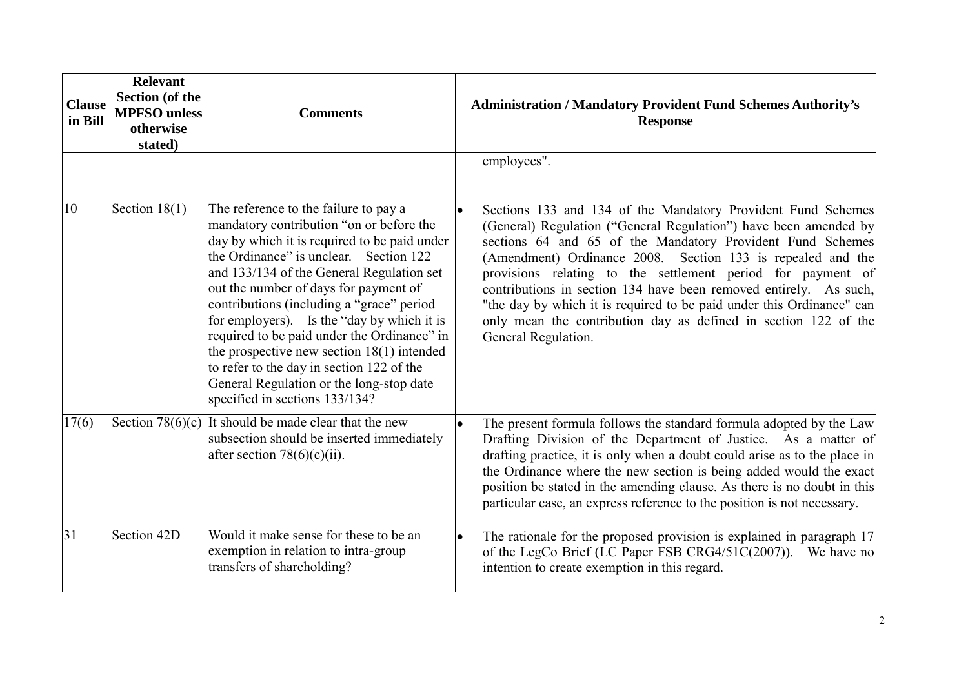| <b>Clause</b><br>in Bill | <b>Relevant</b><br><b>Section (of the</b><br><b>MPFSO</b> unless<br>otherwise<br>stated) | <b>Comments</b>                                                                                                                                                                                                                                                                                                                                                                                                                                                                                                                                                                        | <b>Administration / Mandatory Provident Fund Schemes Authority's</b><br><b>Response</b>                                                                                                                                                                                                                                                                                                                                                                                                                                                                              |
|--------------------------|------------------------------------------------------------------------------------------|----------------------------------------------------------------------------------------------------------------------------------------------------------------------------------------------------------------------------------------------------------------------------------------------------------------------------------------------------------------------------------------------------------------------------------------------------------------------------------------------------------------------------------------------------------------------------------------|----------------------------------------------------------------------------------------------------------------------------------------------------------------------------------------------------------------------------------------------------------------------------------------------------------------------------------------------------------------------------------------------------------------------------------------------------------------------------------------------------------------------------------------------------------------------|
|                          |                                                                                          |                                                                                                                                                                                                                                                                                                                                                                                                                                                                                                                                                                                        | employees".                                                                                                                                                                                                                                                                                                                                                                                                                                                                                                                                                          |
| 10                       | Section $18(1)$                                                                          | The reference to the failure to pay a<br>mandatory contribution "on or before the<br>day by which it is required to be paid under<br>the Ordinance" is unclear. Section 122<br>and 133/134 of the General Regulation set<br>out the number of days for payment of<br>contributions (including a "grace" period<br>for employers). Is the "day by which it is<br>required to be paid under the Ordinance" in<br>the prospective new section $18(1)$ intended<br>to refer to the day in section 122 of the<br>General Regulation or the long-stop date<br>specified in sections 133/134? | Sections 133 and 134 of the Mandatory Provident Fund Schemes<br>(General) Regulation ("General Regulation") have been amended by<br>sections 64 and 65 of the Mandatory Provident Fund Schemes<br>(Amendment) Ordinance 2008. Section 133 is repealed and the<br>provisions relating to the settlement period for payment of<br>contributions in section 134 have been removed entirely. As such,<br>"the day by which it is required to be paid under this Ordinance" can<br>only mean the contribution day as defined in section 122 of the<br>General Regulation. |
| 17(6)                    | Section $78(6)(c)$                                                                       | It should be made clear that the new<br>subsection should be inserted immediately<br>after section $78(6)(c)(ii)$ .                                                                                                                                                                                                                                                                                                                                                                                                                                                                    | The present formula follows the standard formula adopted by the Law<br>Drafting Division of the Department of Justice. As a matter of<br>drafting practice, it is only when a doubt could arise as to the place in<br>the Ordinance where the new section is being added would the exact<br>position be stated in the amending clause. As there is no doubt in this<br>particular case, an express reference to the position is not necessary.                                                                                                                       |
| 31                       | Section 42D                                                                              | Would it make sense for these to be an<br>exemption in relation to intra-group<br>transfers of shareholding?                                                                                                                                                                                                                                                                                                                                                                                                                                                                           | The rationale for the proposed provision is explained in paragraph 17<br>of the LegCo Brief (LC Paper FSB CRG4/51C(2007)). We have no<br>intention to create exemption in this regard.                                                                                                                                                                                                                                                                                                                                                                               |